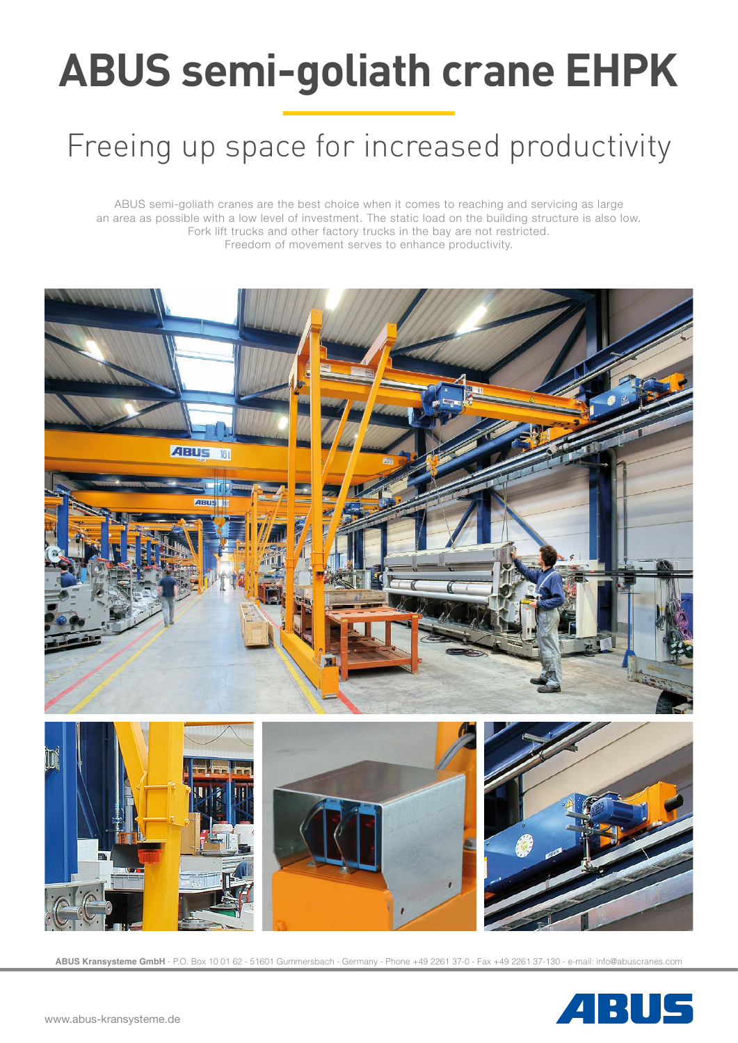# **ABUS semi-goliath crane EHPK**

# Freeing up space for increased productivity

ABUS semi-goliath cranes are the best choice when it comes to reaching and servicing as large an area as possible with a low level of investment. The static load on the building structure is also low. Fork lift trucks and other factory trucks in the bay are not restricted. Freedom of movement serves to enhance productivity.



**ABUS Kransysteme GmbH** - P.O. Box 10 01 62 - 51601 Gummersbach - Germany - Phone +49 2261 37-0 - Fax +49 2261 37-130 - e-mail: info@abuscranes.com